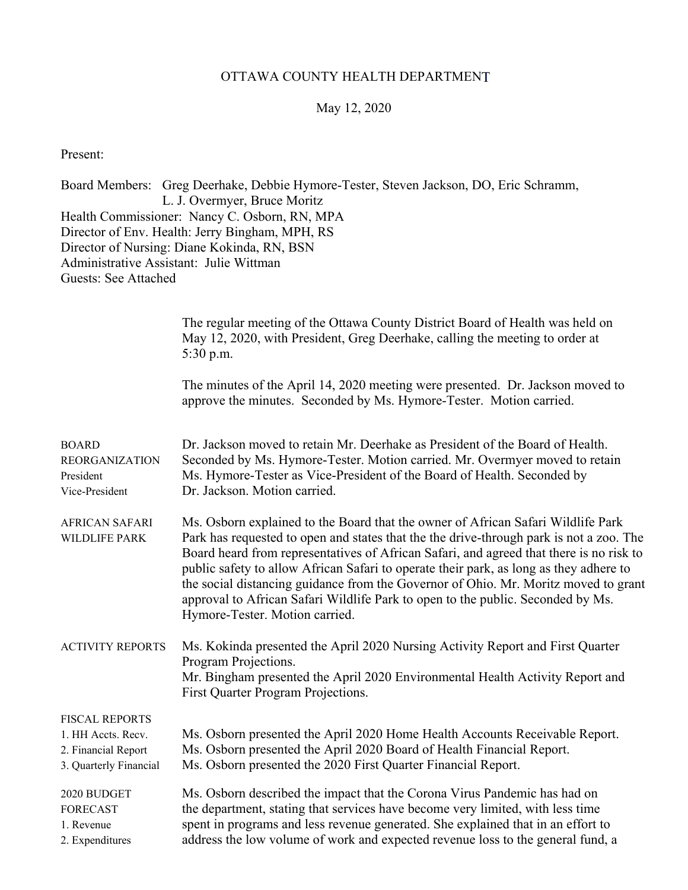## OTTAWA COUNTY HEALTH DEPARTMENT

### May 12, 2020

Present:

Board Members: Greg Deerhake, Debbie Hymore-Tester, Steven Jackson, DO, Eric Schramm, L. J. Overmyer, Bruce Moritz Health Commissioner: Nancy C. Osborn, RN, MPA Director of Env. Health: Jerry Bingham, MPH, RS Director of Nursing: Diane Kokinda, RN, BSN Administrative Assistant: Julie Wittman Guests: See Attached

|                                                                                              | The regular meeting of the Ottawa County District Board of Health was held on<br>May 12, 2020, with President, Greg Deerhake, calling the meeting to order at<br>5:30 p.m.                                                                                                                                                                                                                                                                                                                                                                                                   |
|----------------------------------------------------------------------------------------------|------------------------------------------------------------------------------------------------------------------------------------------------------------------------------------------------------------------------------------------------------------------------------------------------------------------------------------------------------------------------------------------------------------------------------------------------------------------------------------------------------------------------------------------------------------------------------|
|                                                                                              | The minutes of the April 14, 2020 meeting were presented. Dr. Jackson moved to<br>approve the minutes. Seconded by Ms. Hymore-Tester. Motion carried.                                                                                                                                                                                                                                                                                                                                                                                                                        |
| <b>BOARD</b><br><b>REORGANIZATION</b><br>President<br>Vice-President                         | Dr. Jackson moved to retain Mr. Deerhake as President of the Board of Health.<br>Seconded by Ms. Hymore-Tester. Motion carried. Mr. Overmyer moved to retain<br>Ms. Hymore-Tester as Vice-President of the Board of Health. Seconded by<br>Dr. Jackson. Motion carried.                                                                                                                                                                                                                                                                                                      |
| <b>AFRICAN SAFARI</b><br>WILDLIFE PARK                                                       | Ms. Osborn explained to the Board that the owner of African Safari Wildlife Park<br>Park has requested to open and states that the the drive-through park is not a zoo. The<br>Board heard from representatives of African Safari, and agreed that there is no risk to<br>public safety to allow African Safari to operate their park, as long as they adhere to<br>the social distancing guidance from the Governor of Ohio. Mr. Moritz moved to grant<br>approval to African Safari Wildlife Park to open to the public. Seconded by Ms.<br>Hymore-Tester. Motion carried. |
| <b>ACTIVITY REPORTS</b>                                                                      | Ms. Kokinda presented the April 2020 Nursing Activity Report and First Quarter<br>Program Projections.<br>Mr. Bingham presented the April 2020 Environmental Health Activity Report and<br>First Quarter Program Projections.                                                                                                                                                                                                                                                                                                                                                |
| <b>FISCAL REPORTS</b><br>1. HH Accts. Recv.<br>2. Financial Report<br>3. Quarterly Financial | Ms. Osborn presented the April 2020 Home Health Accounts Receivable Report.<br>Ms. Osborn presented the April 2020 Board of Health Financial Report.<br>Ms. Osborn presented the 2020 First Quarter Financial Report.                                                                                                                                                                                                                                                                                                                                                        |
| 2020 BUDGET<br><b>FORECAST</b><br>1. Revenue<br>2. Expenditures                              | Ms. Osborn described the impact that the Corona Virus Pandemic has had on<br>the department, stating that services have become very limited, with less time<br>spent in programs and less revenue generated. She explained that in an effort to<br>address the low volume of work and expected revenue loss to the general fund, a                                                                                                                                                                                                                                           |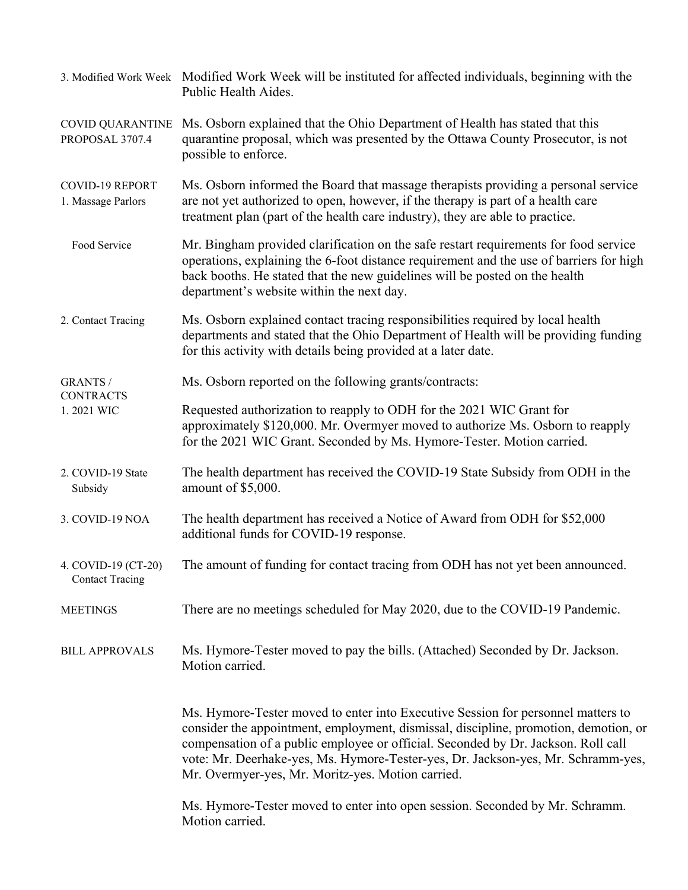|                                               | 3. Modified Work Week Modified Work Week will be instituted for affected individuals, beginning with the<br>Public Health Aides.                                                                                                                                                                                                                                                                       |  |  |  |
|-----------------------------------------------|--------------------------------------------------------------------------------------------------------------------------------------------------------------------------------------------------------------------------------------------------------------------------------------------------------------------------------------------------------------------------------------------------------|--|--|--|
| <b>COVID QUARANTINE</b><br>PROPOSAL 3707.4    | Ms. Osborn explained that the Ohio Department of Health has stated that this<br>quarantine proposal, which was presented by the Ottawa County Prosecutor, is not<br>possible to enforce.                                                                                                                                                                                                               |  |  |  |
| <b>COVID-19 REPORT</b><br>1. Massage Parlors  | Ms. Osborn informed the Board that massage therapists providing a personal service<br>are not yet authorized to open, however, if the therapy is part of a health care<br>treatment plan (part of the health care industry), they are able to practice.                                                                                                                                                |  |  |  |
| Food Service                                  | Mr. Bingham provided clarification on the safe restart requirements for food service<br>operations, explaining the 6-foot distance requirement and the use of barriers for high<br>back booths. He stated that the new guidelines will be posted on the health<br>department's website within the next day.                                                                                            |  |  |  |
| 2. Contact Tracing                            | Ms. Osborn explained contact tracing responsibilities required by local health<br>departments and stated that the Ohio Department of Health will be providing funding<br>for this activity with details being provided at a later date.                                                                                                                                                                |  |  |  |
| <b>GRANTS /</b><br><b>CONTRACTS</b>           | Ms. Osborn reported on the following grants/contracts:                                                                                                                                                                                                                                                                                                                                                 |  |  |  |
| 1.2021 WIC                                    | Requested authorization to reapply to ODH for the 2021 WIC Grant for<br>approximately \$120,000. Mr. Overmyer moved to authorize Ms. Osborn to reapply<br>for the 2021 WIC Grant. Seconded by Ms. Hymore-Tester. Motion carried.                                                                                                                                                                       |  |  |  |
| 2. COVID-19 State<br>Subsidy                  | The health department has received the COVID-19 State Subsidy from ODH in the<br>amount of \$5,000.                                                                                                                                                                                                                                                                                                    |  |  |  |
| 3. COVID-19 NOA                               | The health department has received a Notice of Award from ODH for \$52,000<br>additional funds for COVID-19 response.                                                                                                                                                                                                                                                                                  |  |  |  |
| 4. COVID-19 (CT-20)<br><b>Contact Tracing</b> | The amount of funding for contact tracing from ODH has not yet been announced.                                                                                                                                                                                                                                                                                                                         |  |  |  |
| <b>MEETINGS</b>                               | There are no meetings scheduled for May 2020, due to the COVID-19 Pandemic.                                                                                                                                                                                                                                                                                                                            |  |  |  |
| <b>BILL APPROVALS</b>                         | Ms. Hymore-Tester moved to pay the bills. (Attached) Seconded by Dr. Jackson.<br>Motion carried.                                                                                                                                                                                                                                                                                                       |  |  |  |
|                                               | Ms. Hymore-Tester moved to enter into Executive Session for personnel matters to<br>consider the appointment, employment, dismissal, discipline, promotion, demotion, or<br>compensation of a public employee or official. Seconded by Dr. Jackson. Roll call<br>vote: Mr. Deerhake-yes, Ms. Hymore-Tester-yes, Dr. Jackson-yes, Mr. Schramm-yes,<br>Mr. Overmyer-yes, Mr. Moritz-yes. Motion carried. |  |  |  |
|                                               | Ms. Hymore-Tester moved to enter into open session. Seconded by Mr. Schramm.<br>Motion carried.                                                                                                                                                                                                                                                                                                        |  |  |  |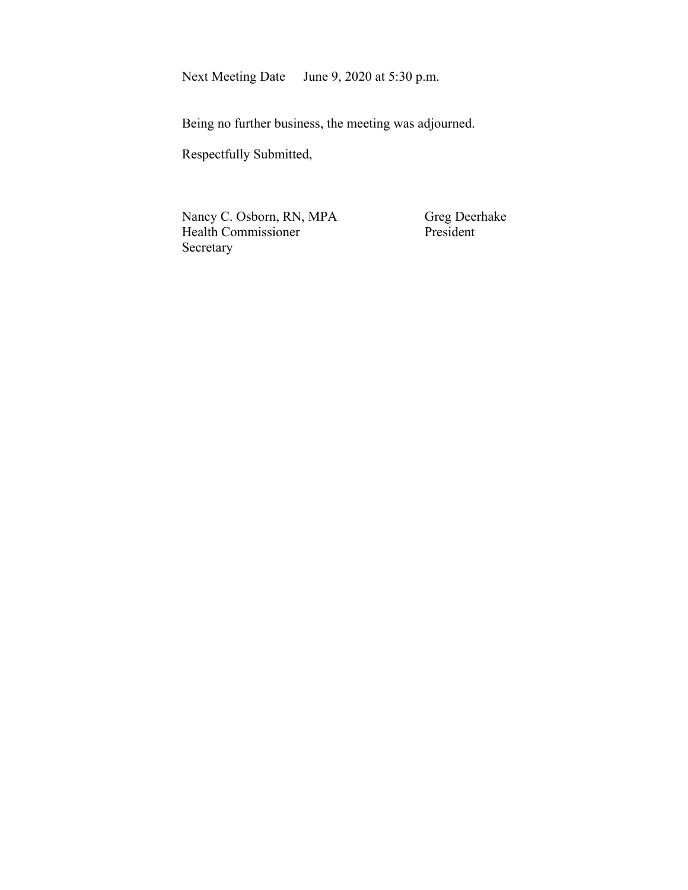Next Meeting Date June 9, 2020 at 5:30 p.m.

Being no further business, the meeting was adjourned.

Respectfully Submitted,

Nancy C. Osborn, RN, MPA Greg Deerhake<br>
Health Commissioner President Health Commissioner Secretary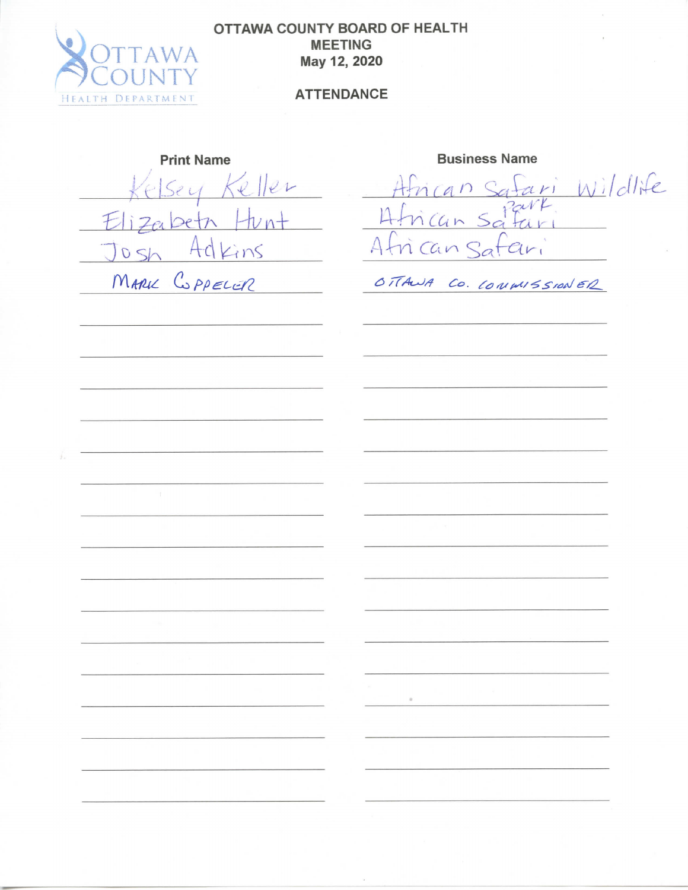

## **OTTAWA COUNTY BOARD OF HEALTH** MEETING May 12, 2020

## **ATTENDANCE**

Print Name **Business** Name  $ell$ Sey  $E$ Adkins  $05h$ MARKE COPPELER

ari Wildlife  $a n S$  $0$ eth  $H\nu$ nt  $-4$  frican Sa n Can Sat  $\epsilon_{ir}$ 

OTTAWA CO. CONWISSIONER

 $\alpha$ 

 $\tilde{\epsilon}$